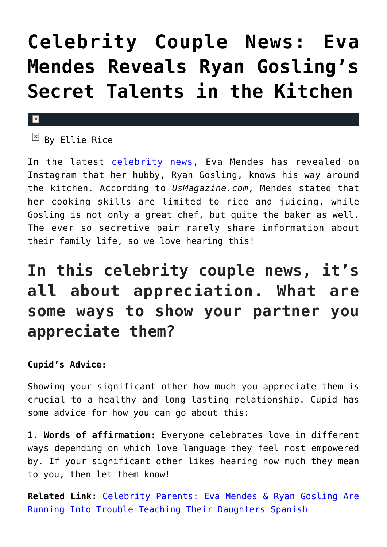## **[Celebrity Couple News: Eva](https://cupidspulse.com/134340/celebrity-couple-news-eva-mendes-reveals-ryan-gosling-secret-talents/) [Mendes Reveals Ryan Gosling's](https://cupidspulse.com/134340/celebrity-couple-news-eva-mendes-reveals-ryan-gosling-secret-talents/) [Secret Talents in the Kitchen](https://cupidspulse.com/134340/celebrity-couple-news-eva-mendes-reveals-ryan-gosling-secret-talents/)**

### $\mathbf{x}$

 $\boxed{\text{a}}$  By Ellie Rice

In the latest [celebrity news](http://cupidspulse.com/celebrity-news/), Eva Mendes has revealed on Instagram that her hubby, Ryan Gosling, knows his way around the kitchen. According to *UsMagazine.com*, Mendes stated that her cooking skills are limited to rice and juicing, while Gosling is not only a great chef, but quite the baker as well. The ever so secretive pair rarely share information about their family life, so we love hearing this!

### **In this celebrity couple news, it's all about appreciation. What are some ways to show your partner you appreciate them?**

### **Cupid's Advice:**

Showing your significant other how much you appreciate them is crucial to a healthy and long lasting relationship. Cupid has some advice for how you can go about this:

**1. Words of affirmation:** Everyone celebrates love in different ways depending on which love language they feel most empowered by. If your significant other likes hearing how much they mean to you, then let them know!

**Related Link:** [Celebrity Parents: Eva Mendes & Ryan Gosling Are](http://cupidspulse.com/130281/celebrity-parents-eva-mendes-ryan-gosling-trouble-teaching-daughters-spanish/) [Running Into Trouble Teaching Their Daughters Spanish](http://cupidspulse.com/130281/celebrity-parents-eva-mendes-ryan-gosling-trouble-teaching-daughters-spanish/)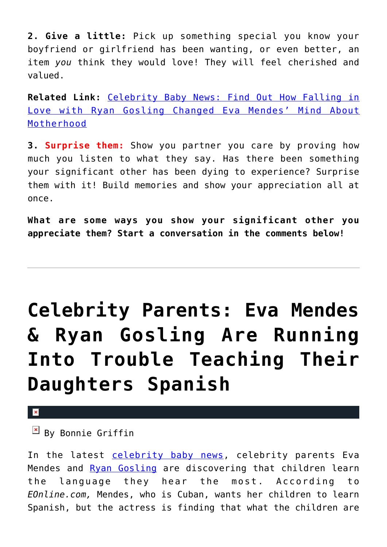**2. Give a little:** Pick up something special you know your boyfriend or girlfriend has been wanting, or even better, an item *you* think they would love! They will feel cherished and valued.

**Related Link:** [Celebrity Baby News: Find Out How Falling in](http://cupidspulse.com/129934/celebrity-baby-news-how-falling-in-love-ryan-gosling-changed-eva-mendes-motherhood/) [Love with Ryan Gosling Changed Eva Mendes' Mind About](http://cupidspulse.com/129934/celebrity-baby-news-how-falling-in-love-ryan-gosling-changed-eva-mendes-motherhood/) [Motherhood](http://cupidspulse.com/129934/celebrity-baby-news-how-falling-in-love-ryan-gosling-changed-eva-mendes-motherhood/)

**3. Surprise them:** Show you partner you care by proving how much you listen to what they say. Has there been something your significant other has been dying to experience? Surprise them with it! Build memories and show your appreciation all at once.

**What are some ways you show your significant other you appreciate them? Start a conversation in the comments below!** 

## **[Celebrity Parents: Eva Mendes](https://cupidspulse.com/130281/celebrity-parents-eva-mendes-ryan-gosling-trouble-teaching-daughters-spanish/) [& Ryan Gosling Are Running](https://cupidspulse.com/130281/celebrity-parents-eva-mendes-ryan-gosling-trouble-teaching-daughters-spanish/) [Into Trouble Teaching Their](https://cupidspulse.com/130281/celebrity-parents-eva-mendes-ryan-gosling-trouble-teaching-daughters-spanish/) [Daughters Spanish](https://cupidspulse.com/130281/celebrity-parents-eva-mendes-ryan-gosling-trouble-teaching-daughters-spanish/)**

 $\mathbf x$ 

 $\overline{B}$  By Bonnie Griffin

In the latest [celebrity baby news](http://cupidspulse.com/celebrity-relationships/celebrity-babies/), celebrity parents Eva Mendes and [Ryan Gosling](http://cupidspulse.com/89547/ryan-gosling/) are discovering that children learn the language they hear the most. According to *EOnline.com,* Mendes, who is Cuban, wants her children to learn Spanish, but the actress is finding that what the children are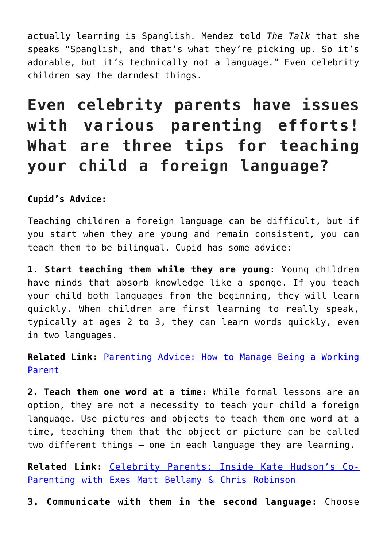actually learning is Spanglish. Mendez told *The Talk* that she speaks "Spanglish, and that's what they're picking up. So it's adorable, but it's technically not a language." Even celebrity children say the darndest things.

### **Even celebrity parents have issues with various parenting efforts! What are three tips for teaching your child a foreign language?**

**Cupid's Advice:**

Teaching children a foreign language can be difficult, but if you start when they are young and remain consistent, you can teach them to be bilingual. Cupid has some advice:

**1. Start teaching them while they are young:** Young children have minds that absorb knowledge like a sponge. If you teach your child both languages from the beginning, they will learn quickly. When children are first learning to really speak, typically at ages 2 to 3, they can learn words quickly, even in two languages.

**Related Link:** [Parenting Advice: How to Manage Being a Working](http://cupidspulse.com/126845/parenting-advice-working-parents-dr-jane-greer/#DQT6XOkkD89prjbI.99) [Parent](http://cupidspulse.com/126845/parenting-advice-working-parents-dr-jane-greer/#DQT6XOkkD89prjbI.99)

**2. Teach them one word at a time:** While formal lessons are an option, they are not a necessity to teach your child a foreign language. Use pictures and objects to teach them one word at a time, teaching them that the object or picture can be called two different things — one in each language they are learning.

**Related Link:** [Celebrity Parents: Inside Kate Hudson's Co-](http://cupidspulse.com/129889/celebrity-parents-kate-hudson-co-parenting-matt-bellamy-chris-robinson/#IGGOU0yLrf1UlLl4.99)[Parenting with Exes Matt Bellamy & Chris Robinson](http://cupidspulse.com/129889/celebrity-parents-kate-hudson-co-parenting-matt-bellamy-chris-robinson/#IGGOU0yLrf1UlLl4.99)

**3. Communicate with them in the second language:** Choose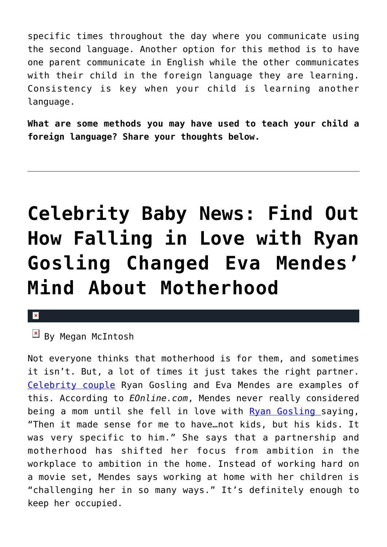specific times throughout the day where you communicate using the second language. Another option for this method is to have one parent communicate in English while the other communicates with their child in the foreign language they are learning. Consistency is key when your child is learning another language.

**What are some methods you may have used to teach your child a foreign language? Share your thoughts below.**

## **[Celebrity Baby News: Find Out](https://cupidspulse.com/129934/celebrity-baby-news-how-falling-in-love-ryan-gosling-changed-eva-mendes-motherhood/) [How Falling in Love with Ryan](https://cupidspulse.com/129934/celebrity-baby-news-how-falling-in-love-ryan-gosling-changed-eva-mendes-motherhood/) [Gosling Changed Eva Mendes'](https://cupidspulse.com/129934/celebrity-baby-news-how-falling-in-love-ryan-gosling-changed-eva-mendes-motherhood/) [Mind About Motherhood](https://cupidspulse.com/129934/celebrity-baby-news-how-falling-in-love-ryan-gosling-changed-eva-mendes-motherhood/)**

#### $\mathbf{R}$

By Megan McIntosh

Not everyone thinks that motherhood is for them, and sometimes it isn't. But, a lot of times it just takes the right partner. [Celebrity couple](http://cupidspulse.com/tag/celebrity-couples/) Ryan Gosling and Eva Mendes are examples of this. According to *EOnline.com*, Mendes never really considered being a mom until she fell in love with [Ryan Gosling](http://cupidspulse.com/89547/ryan-gosling/) saying, "Then it made sense for me to have…not kids, but his kids. It was very specific to him." She says that a partnership and motherhood has shifted her focus from ambition in the workplace to ambition in the home. Instead of working hard on a movie set, Mendes says working at home with her children is "challenging her in so many ways." It's definitely enough to keep her occupied.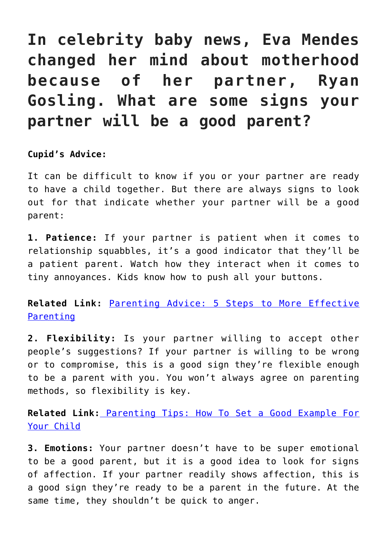### **In celebrity baby news, Eva Mendes changed her mind about motherhood because of her partner, Ryan Gosling. What are some signs your partner will be a good parent?**

### **Cupid's Advice:**

It can be difficult to know if you or your partner are ready to have a child together. But there are always signs to look out for that indicate whether your partner will be a good parent:

**1. Patience:** If your partner is patient when it comes to relationship squabbles, it's a good indicator that they'll be a patient parent. Watch how they interact when it comes to tiny annoyances. Kids know how to push all your buttons.

**Related Link:** [Parenting Advice: 5 Steps to More Effective](http://cupidspulse.com/129005/parenting-advice-steps-more-effective-parenting/) [Parenting](http://cupidspulse.com/129005/parenting-advice-steps-more-effective-parenting/)

**2. Flexibility:** Is your partner willing to accept other people's suggestions? If your partner is willing to be wrong or to compromise, this is a good sign they're flexible enough to be a parent with you. You won't always agree on parenting methods, so flexibility is key.

**Related Link:** [Parenting Tips: How To Set a Good Example For](http://cupidspulse.com/117889/parenting-tips-set-good-example-for-child/) [Your Child](http://cupidspulse.com/117889/parenting-tips-set-good-example-for-child/)

**3. Emotions:** Your partner doesn't have to be super emotional to be a good parent, but it is a good idea to look for signs of affection. If your partner readily shows affection, this is a good sign they're ready to be a parent in the future. At the same time, they shouldn't be quick to anger.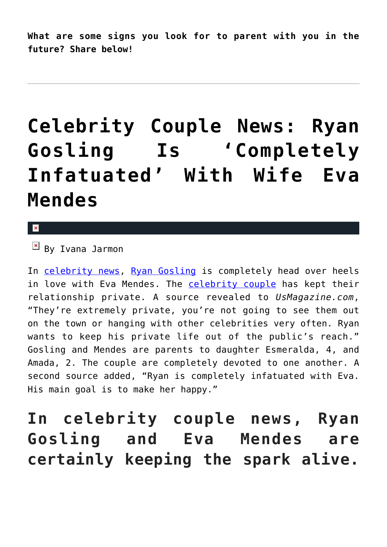**What are some signs you look for to parent with you in the future? Share below!**

## **[Celebrity Couple News: Ryan](https://cupidspulse.com/127246/celebrity-couple-news-ryan-gosling-is-infatuated-with-wife-eva-mendes/) [Gosling Is 'Completely](https://cupidspulse.com/127246/celebrity-couple-news-ryan-gosling-is-infatuated-with-wife-eva-mendes/) [Infatuated' With Wife Eva](https://cupidspulse.com/127246/celebrity-couple-news-ryan-gosling-is-infatuated-with-wife-eva-mendes/) [Mendes](https://cupidspulse.com/127246/celebrity-couple-news-ryan-gosling-is-infatuated-with-wife-eva-mendes/)**

 $\mathbf{R}$ 

 $By$  Ivana Jarmon

In [celebrity news,](http://cupidspulse.com/) [Ryan Gosling](http://cupidspulse.com/89547/ryan-gosling/) is completely head over heels in love with Eva Mendes. The [celebrity couple](http://cupidspulse.com/celebrity-news/celebrity-dating/) has kept their relationship private. A source revealed to *UsMagazine.com*, "They're extremely private, you're not going to see them out on the town or hanging with other celebrities very often. Ryan wants to keep his private life out of the public's reach." Gosling and Mendes are parents to daughter Esmeralda, 4, and Amada, 2. The couple are completely devoted to one another. A second source added, "Ryan is completely infatuated with Eva. His main goal is to make her happy."

**In celebrity couple news, Ryan Gosling and Eva Mendes are certainly keeping the spark alive.**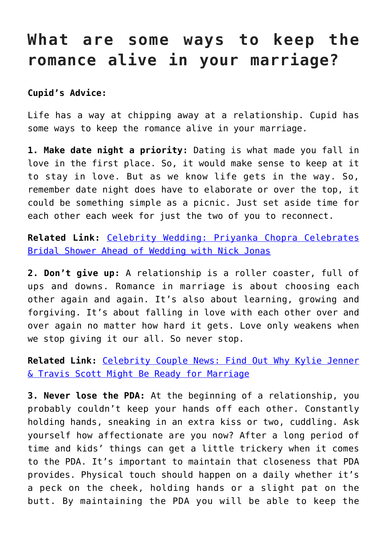### **What are some ways to keep the romance alive in your marriage?**

### **Cupid's Advice:**

Life has a way at chipping away at a relationship. Cupid has some ways to keep the romance alive in your marriage.

**1. Make date night a priority:** Dating is what made you fall in love in the first place. So, it would make sense to keep at it to stay in love. But as we know life gets in the way. So, remember date night does have to elaborate or over the top, it could be something simple as a picnic. Just set aside time for each other each week for just the two of you to reconnect.

**Related Link:** [Celebrity Wedding: Priyanka Chopra Celebrates](http://cupidspulse.com/127204/celebrity-wedding-priyanka-chopra-celebrates-bridal-shower-ahead-wedding-nick-jonas/) [Bridal Shower Ahead of Wedding with Nick Jonas](http://cupidspulse.com/127204/celebrity-wedding-priyanka-chopra-celebrates-bridal-shower-ahead-wedding-nick-jonas/)

**2. Don't give up:** A relationship is a roller coaster, full of ups and downs. Romance in marriage is about choosing each other again and again. It's also about learning, growing and forgiving. It's about falling in love with each other over and over again no matter how hard it gets. Love only weakens when we stop giving it our all. So never stop.

**Related Link:** [Celebrity Couple News: Find Out Why Kylie Jenner](http://cupidspulse.com/127229/celebrity-couple-news-why-kylie-jenner-travis-scott-ready-marriage/) [& Travis Scott Might Be Ready for Marriage](http://cupidspulse.com/127229/celebrity-couple-news-why-kylie-jenner-travis-scott-ready-marriage/)

**3. Never lose the PDA:** At the beginning of a relationship, you probably couldn't keep your hands off each other. Constantly holding hands, sneaking in an extra kiss or two, cuddling. Ask yourself how affectionate are you now? After a long period of time and kids' things can get a little trickery when it comes to the PDA. It's important to maintain that closeness that PDA provides. Physical touch should happen on a daily whether it's a peck on the cheek, holding hands or a slight pat on the butt. By maintaining the PDA you will be able to keep the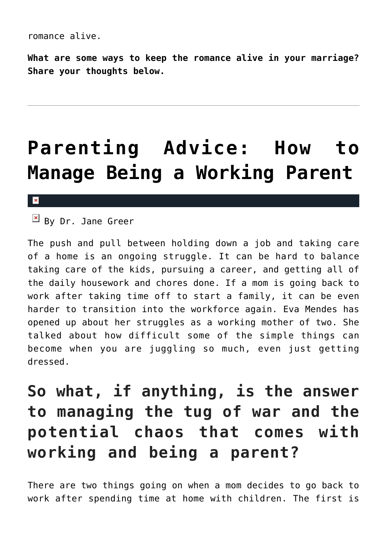**What are some ways to keep the romance alive in your marriage? Share your thoughts below.**

## **[Parenting Advice: How to](https://cupidspulse.com/126845/parenting-advice-working-parents-dr-jane-greer/) [Manage Being a Working Parent](https://cupidspulse.com/126845/parenting-advice-working-parents-dr-jane-greer/)**

### $\mathbf{x}$

 $\overline{B}$  By Dr. Jane Greer

The push and pull between holding down a job and taking care of a home is an ongoing struggle. It can be hard to balance taking care of the kids, pursuing a career, and getting all of the daily housework and chores done. If a mom is going back to work after taking time off to start a family, it can be even harder to transition into the workforce again. Eva Mendes has opened up about her struggles as a working mother of two. She talked about how difficult some of the simple things can become when you are juggling so much, even just getting dressed.

### **So what, if anything, is the answer to managing the tug of war and the potential chaos that comes with working and being a parent?**

There are two things going on when a mom decides to go back to work after spending time at home with children. The first is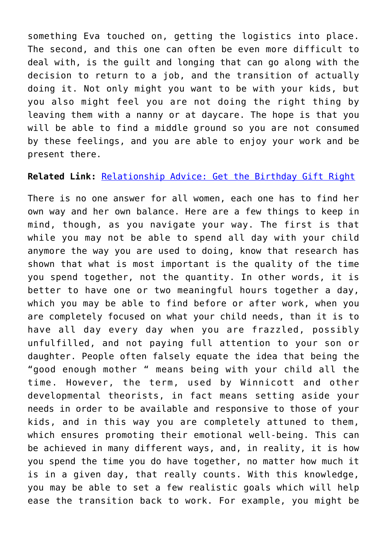something Eva touched on, getting the logistics into place. The second, and this one can often be even more difficult to deal with, is the guilt and longing that can go along with the decision to return to a job, and the transition of actually doing it. Not only might you want to be with your kids, but you also might feel you are not doing the right thing by leaving them with a nanny or at daycare. The hope is that you will be able to find a middle ground so you are not consumed by these feelings, and you are able to enjoy your work and be present there.

#### **Related Link:** [Relationship Advice: Get the Birthday Gift Right](http://cupidspulse.com/126713/relationship-advice-get-birthday-gift-right/)

There is no one answer for all women, each one has to find her own way and her own balance. Here are a few things to keep in mind, though, as you navigate your way. The first is that while you may not be able to spend all day with your child anymore the way you are used to doing, know that research has shown that what is most important is the quality of the time you spend together, not the quantity. In other words, it is better to have one or two meaningful hours together a day, which you may be able to find before or after work, when you are completely focused on what your child needs, than it is to have all day every day when you are frazzled, possibly unfulfilled, and not paying full attention to your son or daughter. People often falsely equate the idea that being the "good enough mother " means being with your child all the time. However, the term, used by Winnicott and other developmental theorists, in fact means setting aside your needs in order to be available and responsive to those of your kids, and in this way you are completely attuned to them, which ensures promoting their emotional well-being. This can be achieved in many different ways, and, in reality, it is how you spend the time you do have together, no matter how much it is in a given day, that really counts. With this knowledge, you may be able to set a few realistic goals which will help ease the transition back to work. For example, you might be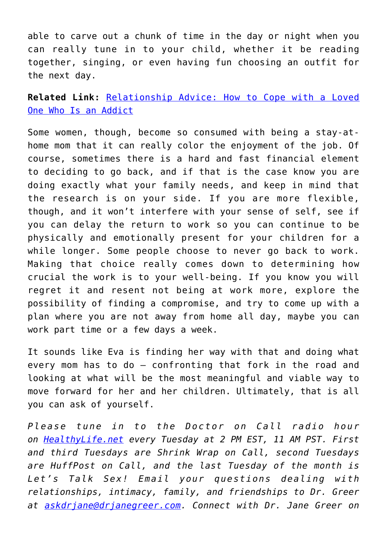able to carve out a chunk of time in the day or night when you can really tune in to your child, whether it be reading together, singing, or even having fun choosing an outfit for the next day.

**Related Link:** [Relationship Advice: How to Cope with a Loved](http://cupidspulse.com/126648/relationship-advice-cope-addicted-loved-one-dr-jane-greer/) [One Who Is an Addict](http://cupidspulse.com/126648/relationship-advice-cope-addicted-loved-one-dr-jane-greer/)

Some women, though, become so consumed with being a stay-athome mom that it can really color the enjoyment of the job. Of course, sometimes there is a hard and fast financial element to deciding to go back, and if that is the case know you are doing exactly what your family needs, and keep in mind that the research is on your side. If you are more flexible, though, and it won't interfere with your sense of self, see if you can delay the return to work so you can continue to be physically and emotionally present for your children for a while longer. Some people choose to never go back to work. Making that choice really comes down to determining how crucial the work is to your well-being. If you know you will regret it and resent not being at work more, explore the possibility of finding a compromise, and try to come up with a plan where you are not away from home all day, maybe you can work part time or a few days a week.

It sounds like Eva is finding her way with that and doing what every mom has to do – confronting that fork in the road and looking at what will be the most meaningful and viable way to move forward for her and her children. Ultimately, that is all you can ask of yourself.

*Please tune in to the Doctor on Call radio hour on [HealthyLife.net](http://www.healthylife.net/) every Tuesday at 2 PM EST, 11 AM PST. First and third Tuesdays are Shrink Wrap on Call, second Tuesdays are HuffPost on Call, and the last Tuesday of the month is Let's Talk Sex! Email your questions dealing with relationships, intimacy, family, and friendships to Dr. Greer at [askdrjane@drjanegreer.com](mailto:askdrjane@drjanegreer.com). Connect with Dr. Jane Greer on*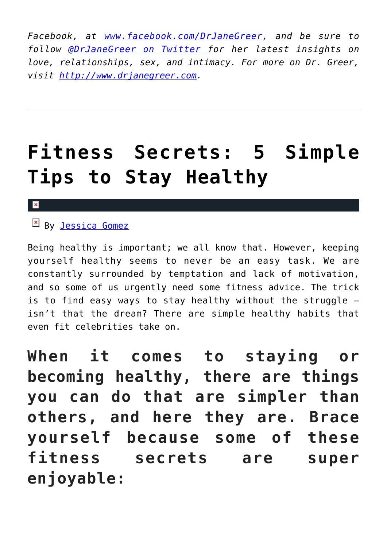*Facebook, at [www.facebook.com/DrJaneGreer,](http://www.facebook.com/DrJaneGreer) and be sure to follow [@DrJaneGreer on Twitter f](https://twitter.com/#!/DrJaneGreer)or her latest insights on love, relationships, sex, and intimacy. For more on Dr. Greer, visit [http://www.drjanegreer.com.](http://www.drjanegreer.com/)*

### **[Fitness Secrets: 5 Simple](https://cupidspulse.com/123031/fitness-secrets-simple-tips-stay-healthy/) [Tips to Stay Healthy](https://cupidspulse.com/123031/fitness-secrets-simple-tips-stay-healthy/)**

### $\mathbb{F}$  By [Jessica Gomez](http://cupidspulse.com/122405/jessica-gomez/)

Being healthy is important; we all know that. However, keeping yourself healthy seems to never be an easy task. We are constantly surrounded by temptation and lack of motivation, and so some of us urgently need some fitness advice. The trick is to find easy ways to stay healthy without the struggle isn't that the dream? There are simple healthy habits that even fit celebrities take on.

**When it comes to staying or becoming healthy, there are things you can do that are simpler than others, and here they are. Brace yourself because some of these fitness secrets are super enjoyable:**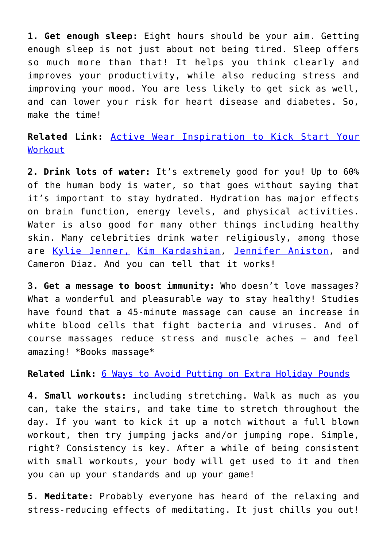**1. Get enough sleep:** Eight hours should be your aim. Getting enough sleep is not just about not being tired. Sleep offers so much more than that! It helps you think clearly and improves your productivity, while also reducing stress and improving your mood. You are less likely to get sick as well, and can lower your risk for heart disease and diabetes. So, make the time!

**Related Link:** [Active Wear Inspiration to Kick Start Your](http://cupidspulse.com/122702/celebrity-style-active-wear-inspiration-kick-start-workout/) [Workout](http://cupidspulse.com/122702/celebrity-style-active-wear-inspiration-kick-start-workout/)

**2. Drink lots of water:** It's extremely good for you! Up to 60% of the human body is water, so that goes without saying that it's important to stay hydrated. Hydration has major effects on brain function, energy levels, and physical activities. Water is also good for many other things including healthy skin. Many celebrities drink water religiously, among those are [Kylie Jenner,](http://cupidspulse.com/86091/kylie-jenner/) [Kim Kardashian,](http://cupidspulse.com/86077/kim-kardashian/) [Jennifer Aniston](http://cupidspulse.com/86079/jennifer-aniston/), and Cameron Diaz. And you can tell that it works!

**3. Get a message to boost immunity:** Who doesn't love massages? What a wonderful and pleasurable way to stay healthy! Studies have found that a 45-minute massage can cause an increase in white blood cells that fight bacteria and viruses. And of course massages reduce stress and muscle aches — and feel amazing! \*Books massage\*

**Related Link:** [6 Ways to Avoid Putting on Extra Holiday Pounds](http://cupidspulse.com/121599/fitness-tips-avoid-extra-holiday-pounds/)

**4. Small workouts:** including stretching. Walk as much as you can, take the stairs, and take time to stretch throughout the day. If you want to kick it up a notch without a full blown workout, then try jumping jacks and/or jumping rope. Simple, right? Consistency is key. After a while of being consistent with small workouts, your body will get used to it and then you can up your standards and up your game!

**5. Meditate:** Probably everyone has heard of the relaxing and stress-reducing effects of meditating. It just chills you out!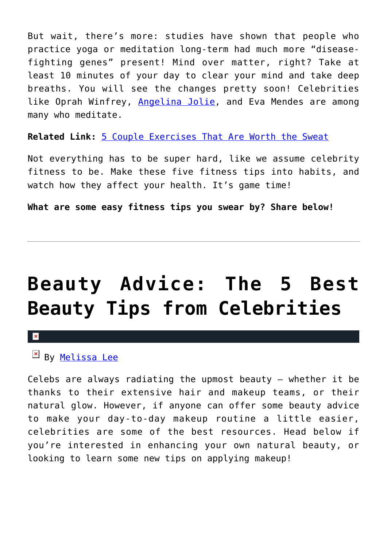But wait, there's more: studies have shown that people who practice yoga or meditation long-term had much more "diseasefighting genes" present! Mind over matter, right? Take at least 10 minutes of your day to clear your mind and take deep breaths. You will see the changes pretty soon! Celebrities like Oprah Winfrey, [Angelina Jolie](http://cupidspulse.com/86085/angelina-jolie/), and Eva Mendes are among many who meditate.

**Related Link:** [5 Couple Exercises That Are Worth the Sweat](http://cupidspulse.com/121237/fitness-tips-couple-exercises-worth-sweat/)

Not everything has to be super hard, like we assume celebrity fitness to be. Make these five fitness tips into habits, and watch how they affect your health. It's game time!

**What are some easy fitness tips you swear by? Share below!**

# **[Beauty Advice: The 5 Best](https://cupidspulse.com/120052/beauty-best-beauty-tips-celebrities/) [Beauty Tips from Celebrities](https://cupidspulse.com/120052/beauty-best-beauty-tips-celebrities/)**

#### $\mathbf x$

EN By [Melissa Lee](http://cupidspulse.com/118747/melissa-lee/)

Celebs are always radiating the upmost beauty — whether it be thanks to their extensive hair and makeup teams, or their natural glow. However, if anyone can offer some beauty advice to make your day-to-day makeup routine a little easier, celebrities are some of the best resources. Head below if you're interested in enhancing your own natural beauty, or looking to learn some new tips on applying makeup!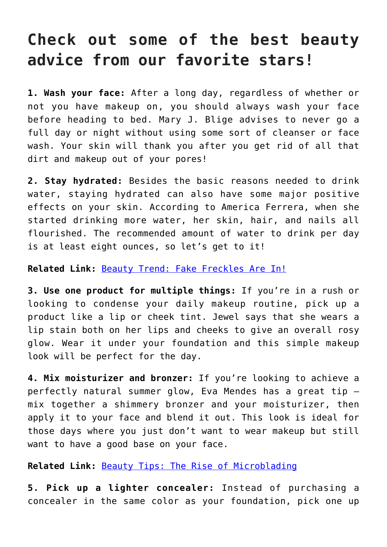### **Check out some of the best beauty advice from our favorite stars!**

**1. Wash your face:** After a long day, regardless of whether or not you have makeup on, you should always wash your face before heading to bed. Mary J. Blige advises to never go a full day or night without using some sort of cleanser or face wash. Your skin will thank you after you get rid of all that dirt and makeup out of your pores!

**2. Stay hydrated:** Besides the basic reasons needed to drink water, staying hydrated can also have some major positive effects on your skin. According to America Ferrera, when she started drinking more water, her skin, hair, and nails all flourished. The recommended amount of water to drink per day is at least eight ounces, so let's get to it!

#### **Related Link:** [Beauty Trend: Fake Freckles Are In!](http://cupidspulse.com/118946/beauty-trend-fake-freckles/)

**3. Use one product for multiple things:** If you're in a rush or looking to condense your daily makeup routine, pick up a product like a lip or cheek tint. Jewel says that she wears a lip stain both on her lips and cheeks to give an overall rosy glow. Wear it under your foundation and this simple makeup look will be perfect for the day.

**4. Mix moisturizer and bronzer:** If you're looking to achieve a perfectly natural summer glow, Eva Mendes has a great tip mix together a shimmery bronzer and your moisturizer, then apply it to your face and blend it out. This look is ideal for those days where you just don't want to wear makeup but still want to have a good base on your face.

**Related Link:** [Beauty Tips: The Rise of Microblading](http://cupidspulse.com/118837/beauty-tips-microblading/)

**5. Pick up a lighter concealer:** Instead of purchasing a concealer in the same color as your foundation, pick one up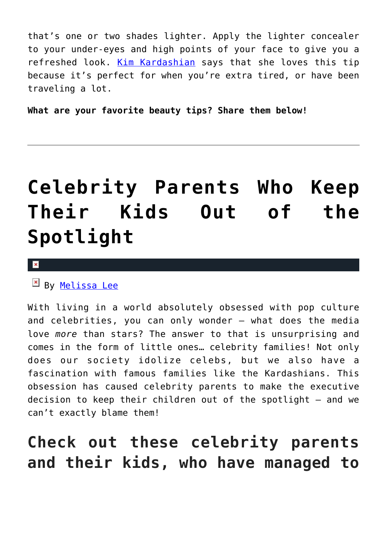that's one or two shades lighter. Apply the lighter concealer to your under-eyes and high points of your face to give you a refreshed look. [Kim Kardashian](http://cupidspulse.com/86077/kim-kardashian/) says that she loves this tip because it's perfect for when you're extra tired, or have been traveling a lot.

**What are your favorite beauty tips? Share them below!**

## **[Celebrity Parents Who Keep](https://cupidspulse.com/119933/celebrity-parents-keep-kids-out-of-spotlight/) [Their Kids Out of the](https://cupidspulse.com/119933/celebrity-parents-keep-kids-out-of-spotlight/) [Spotlight](https://cupidspulse.com/119933/celebrity-parents-keep-kids-out-of-spotlight/)**

#### ×

 $By$  [Melissa Lee](http://cupidspulse.com/118747/melissa-lee/)

With living in a world absolutely obsessed with pop culture and celebrities, you can only wonder — what does the media love *more* than stars? The answer to that is unsurprising and comes in the form of little ones… celebrity families! Not only does our society idolize celebs, but we also have a fascination with famous families like the Kardashians. This obsession has caused celebrity parents to make the executive decision to keep their children out of the spotlight — and we can't exactly blame them!

### **Check out these celebrity parents and their kids, who have managed to**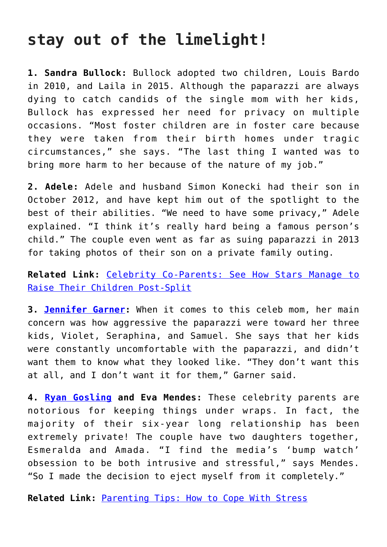### **stay out of the limelight!**

**1. Sandra Bullock:** Bullock adopted two children, Louis Bardo in 2010, and Laila in 2015. Although the paparazzi are always dying to catch candids of the single mom with her kids, Bullock has expressed her need for privacy on multiple occasions. "Most foster children are in foster care because they were taken from their birth homes under tragic circumstances," she says. "The last thing I wanted was to bring more harm to her because of the nature of my job."

**2. Adele:** Adele and husband Simon Konecki had their son in October 2012, and have kept him out of the spotlight to the best of their abilities. "We need to have some privacy," Adele explained. "I think it's really hard being a famous person's child." The couple even went as far as suing paparazzi in 2013 for taking photos of their son on a private family outing.

### **Related Link:** [Celebrity Co-Parents: See How Stars Manage to](http://cupidspulse.com/118813/celebrity-parents-raise-children-post-split/) [Raise Their Children Post-Split](http://cupidspulse.com/118813/celebrity-parents-raise-children-post-split/)

**3. [Jennifer Garner:](http://cupidspulse.com/94271/jennifer-garner/)** When it comes to this celeb mom, her main concern was how aggressive the paparazzi were toward her three kids, Violet, Seraphina, and Samuel. She says that her kids were constantly uncomfortable with the paparazzi, and didn't want them to know what they looked like. "They don't want this at all, and I don't want it for them," Garner said.

**4. [Ryan Gosling](http://cupidspulse.com/89547/ryan-gosling/) and Eva Mendes:** These celebrity parents are notorious for keeping things under wraps. In fact, the majority of their six-year long relationship has been extremely private! The couple have two daughters together, Esmeralda and Amada. "I find the media's 'bump watch' obsession to be both intrusive and stressful," says Mendes. "So I made the decision to eject myself from it completely."

**Related Link:** [Parenting Tips: How to Cope With Stress](http://cupidspulse.com/118060/parenting-tips-how-cope-stress/)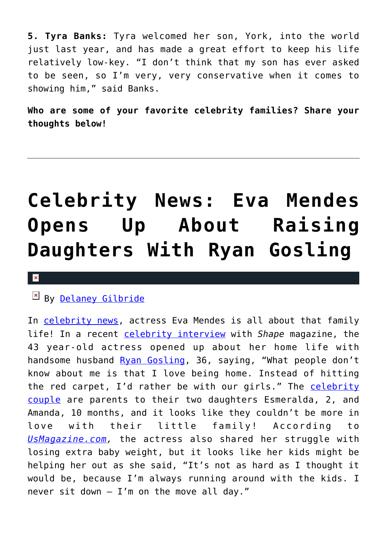**5. Tyra Banks:** Tyra welcomed her son, York, into the world just last year, and has made a great effort to keep his life relatively low-key. "I don't think that my son has ever asked to be seen, so I'm very, very conservative when it comes to showing him," said Banks.

**Who are some of your favorite celebrity families? Share your thoughts below!**

## **[Celebrity News: Eva Mendes](https://cupidspulse.com/117226/celebrity-news-eva-mendes-raising-daughters-ryan-gosling/) [Opens Up About Raising](https://cupidspulse.com/117226/celebrity-news-eva-mendes-raising-daughters-ryan-gosling/) [Daughters With Ryan Gosling](https://cupidspulse.com/117226/celebrity-news-eva-mendes-raising-daughters-ryan-gosling/)**

#### $\mathbf x$

### By [Delaney Gilbride](http://cupidspulse.com/116956/delaney-gilbride/)

In [celebrity news](http://cupidspulse.com), actress Eva Mendes is all about that family life! In a recent [celebrity interview](http://cupidspulse.com/celebrity-news/celebrity-interviews/) with *Shape* magazine, the 43 year-old actress opened up about her home life with handsome husband [Ryan Gosling,](http://cupidspulse.com/89547/ryan-gosling/) 36, saying, "What people don't know about me is that I love being home. Instead of hitting the red carpet, I'd rather be with our girls." The [celebrity](http://cupidspulse.com/celebrity-news/celebrity-dating/) [couple](http://cupidspulse.com/celebrity-news/celebrity-dating/) are parents to their two daughters Esmeralda, 2, and Amanda, 10 months, and it looks like they couldn't be more in love with their little family! According to *[UsMagazine.com](http://www.usmagazine.com/celebrity-moms/news/eva-mendes-talks-raising-daughters-with-ryan-gosling-w470999),* the actress also shared her struggle with losing extra baby weight, but it looks like her kids might be helping her out as she said, "It's not as hard as I thought it would be, because I'm always running around with the kids. I never sit down  $-$  I'm on the move all day."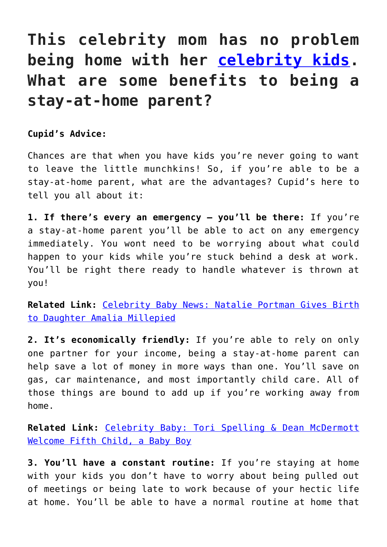### **This celebrity mom has no problem being home with her [celebrity kids.](http://cupidspulse.com/celebrity-news/celebrity-babies/) What are some benefits to being a stay-at-home parent?**

**Cupid's Advice:**

Chances are that when you have kids you're never going to want to leave the little munchkins! So, if you're able to be a stay-at-home parent, what are the advantages? Cupid's here to tell you all about it:

**1. If there's every an emergency – you'll be there:** If you're a stay-at-home parent you'll be able to act on any emergency immediately. You wont need to be worrying about what could happen to your kids while you're stuck behind a desk at work. You'll be right there ready to handle whatever is thrown at you!

**Related Link:** [Celebrity Baby News: Natalie Portman Gives Birth](http://cupidspulse.com/117177/celebrity-baby-natalie-portman-gives-birth-daughter/) [to Daughter Amalia Millepied](http://cupidspulse.com/117177/celebrity-baby-natalie-portman-gives-birth-daughter/)

**2. It's economically friendly:** If you're able to rely on only one partner for your income, being a stay-at-home parent can help save a lot of money in more ways than one. You'll save on gas, car maintenance, and most importantly child care. All of those things are bound to add up if you're working away from home.

**Related Link:** [Celebrity Baby: Tori Spelling & Dean McDermott](http://cupidspulse.com/117147/celebrity-baby-tori-spelling-dean-mcdermott-welcome-fifth-child/) [Welcome Fifth Child, a Baby Boy](http://cupidspulse.com/117147/celebrity-baby-tori-spelling-dean-mcdermott-welcome-fifth-child/)

**3. You'll have a constant routine:** If you're staying at home with your kids you don't have to worry about being pulled out of meetings or being late to work because of your hectic life at home. You'll be able to have a normal routine at home that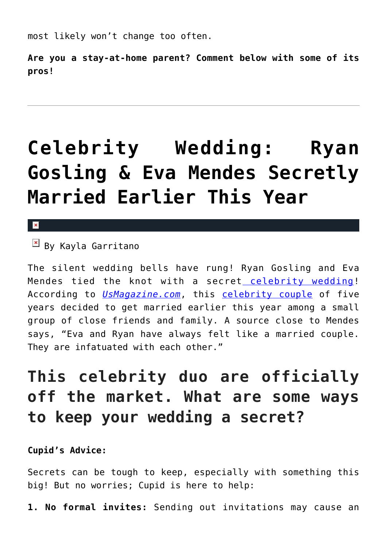most likely won't change too often.

**Are you a stay-at-home parent? Comment below with some of its pros!**

## **[Celebrity Wedding: Ryan](https://cupidspulse.com/114793/ryan-gosling-eva-mendes-secret-celebrity-wedding/) [Gosling & Eva Mendes Secretly](https://cupidspulse.com/114793/ryan-gosling-eva-mendes-secret-celebrity-wedding/) [Married Earlier This Year](https://cupidspulse.com/114793/ryan-gosling-eva-mendes-secret-celebrity-wedding/)**

 $\pmb{\times}$ 

 $\boxed{\times}$  By Kayla Garritano

The silent wedding bells have rung! Ryan Gosling and Eva Mendes tied the knot with a secret [celebrity wedding!](http://cupidspulse.com/celebrity-news/celebrity-weddings/) According to *[UsMagazine.com](http://www.usmagazine.com/celebrity-news/news/ryan-gosling-eva-mendes-secretly-married-details-w441230)*, this [celebrity couple](http://cupidspulse.com/celebrity-news/celebrity-dating/) of five years decided to get married earlier this year among a small group of close friends and family. A source close to Mendes says, "Eva and Ryan have always felt like a married couple. They are infatuated with each other."

### **This celebrity duo are officially off the market. What are some ways to keep your wedding a secret?**

### **Cupid's Advice:**

Secrets can be tough to keep, especially with something this big! But no worries; Cupid is here to help:

**1. No formal invites:** Sending out invitations may cause an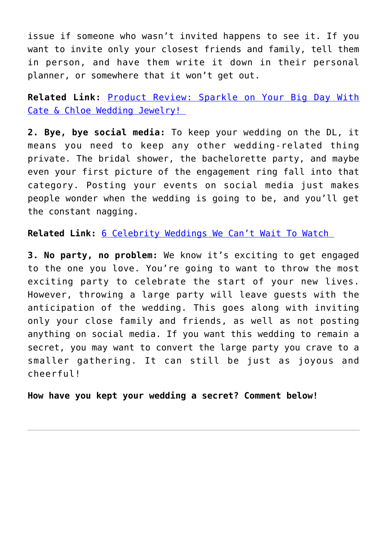issue if someone who wasn't invited happens to see it. If you want to invite only your closest friends and family, tell them in person, and have them write it down in their personal planner, or somewhere that it won't get out.

**Related Link:** [Product Review: Sparkle on Your Big Day With](http://cupidspulse.com/114568/product-review-cate-and-chloe-wedding-jewelry/) [Cate & Chloe Wedding Jewelry!](http://cupidspulse.com/114568/product-review-cate-and-chloe-wedding-jewelry/) 

**2. Bye, bye social media:** To keep your wedding on the DL, it means you need to keep any other wedding-related thing private. The bridal shower, the bachelorette party, and maybe even your first picture of the engagement ring fall into that category. Posting your events on social media just makes people wonder when the wedding is going to be, and you'll get the constant nagging.

**Related Link:** [6 Celebrity Weddings We Can't Wait To Watch](http://cupidspulse.com/113809/celebrity-weddings-cant-wait-watch/) 

**3. No party, no problem:** We know it's exciting to get engaged to the one you love. You're going to want to throw the most exciting party to celebrate the start of your new lives. However, throwing a large party will leave guests with the anticipation of the wedding. This goes along with inviting only your close family and friends, as well as not posting anything on social media. If you want this wedding to remain a secret, you may want to convert the large party you crave to a smaller gathering. It can still be just as joyous and cheerful!

**How have you kept your wedding a secret? Comment below!**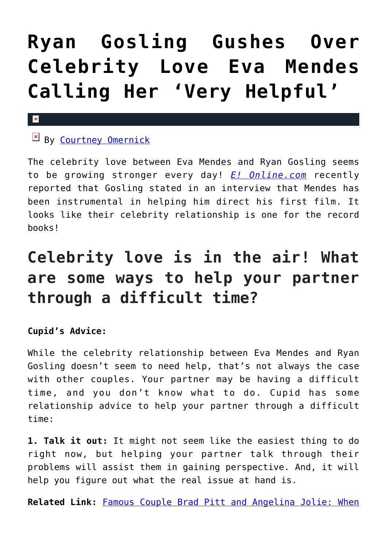## **[Ryan Gosling Gushes Over](https://cupidspulse.com/93711/ryan-gosling-celebrity-love-eva-mendes-very-helpful/) [Celebrity Love Eva Mendes](https://cupidspulse.com/93711/ryan-gosling-celebrity-love-eva-mendes-very-helpful/) [Calling Her 'Very Helpful'](https://cupidspulse.com/93711/ryan-gosling-celebrity-love-eva-mendes-very-helpful/)**

### $\mathbf{x}$

### By [Courtney Omernick](http://cupidspulse.com/105759/courtney-omernick/)

The celebrity love between Eva Mendes and Ryan Gosling seems to be growing stronger every day! *[E! Online.com](http://www.eonline.com/news/664001/ryan-gosling-gushes-over-very-helpful-eva-mendes-reveals-his-looks-were-never-a-threat-in-high-school)* recently reported that Gosling stated in an interview that Mendes has been instrumental in helping him direct his first film. It looks like their celebrity relationship is one for the record books!

### **Celebrity love is in the air! What are some ways to help your partner through a difficult time?**

### **Cupid's Advice:**

While the celebrity relationship between Eva Mendes and Ryan Gosling doesn't seem to need help, that's not always the case with other couples. Your partner may be having a difficult time, and you don't know what to do. Cupid has some relationship advice to help your partner through a difficult time:

**1. Talk it out:** It might not seem like the easiest thing to do right now, but helping your partner talk through their problems will assist them in gaining perspective. And, it will help you figure out what the real issue at hand is.

**Related Link:** [Famous Couple Brad Pitt and Angelina Jolie: When](http://cupidspulse.com/92788/famous-couple-brad-pitt-angelina-jolie-time-seek-help/)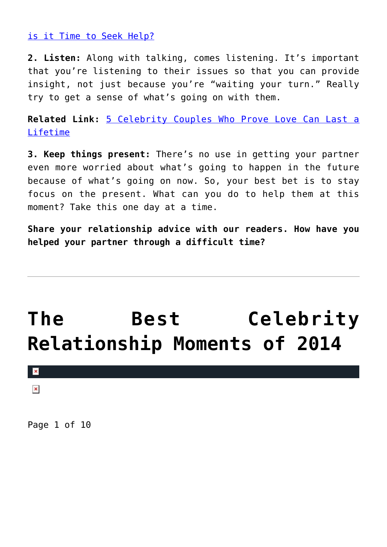[is it Time to Seek Help?](http://cupidspulse.com/92788/famous-couple-brad-pitt-angelina-jolie-time-seek-help/)

**2. Listen:** Along with talking, comes listening. It's important that you're listening to their issues so that you can provide insight, not just because you're "waiting your turn." Really try to get a sense of what's going on with them.

**Related Link:** [5 Celebrity Couples Who Prove Love Can Last a](http://cupidspulse.com/93485/celebrity-couples-prove-love-last-lifetime/) [Lifetime](http://cupidspulse.com/93485/celebrity-couples-prove-love-last-lifetime/)

**3. Keep things present:** There's no use in getting your partner even more worried about what's going to happen in the future because of what's going on now. So, your best bet is to stay focus on the present. What can you do to help them at this moment? Take this one day at a time.

**Share your relationship advice with our readers. How have you helped your partner through a difficult time?**

## **[The Best Celebrity](https://cupidspulse.com/83922/best-celebrity-relationship-moments-2014/) [Relationship Moments of 2014](https://cupidspulse.com/83922/best-celebrity-relationship-moments-2014/)**



 $\pmb{\times}$ 

Page 1 of 10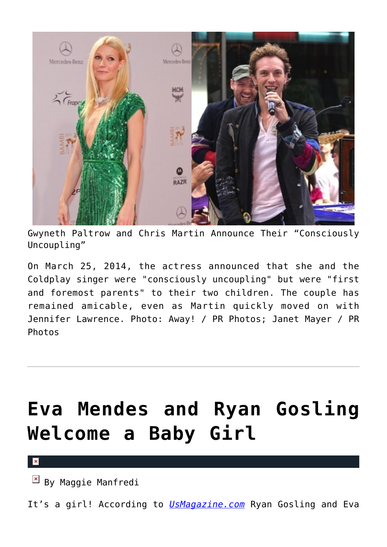

Gwyneth Paltrow and Chris Martin Announce Their "Consciously Uncoupling"

On March 25, 2014, the actress announced that she and the Coldplay singer were "consciously uncoupling" but were "first and foremost parents" to their two children. The couple has remained amicable, even as Martin quickly moved on with Jennifer Lawrence. Photo: Away! / PR Photos; Janet Mayer / PR **Photos** 

# **[Eva Mendes and Ryan Gosling](https://cupidspulse.com/80872/eva-mendes-ryan-gosling-baby-girl-birth/) [Welcome a Baby Girl](https://cupidspulse.com/80872/eva-mendes-ryan-gosling-baby-girl-birth/)**

 $\mathbf{x}$ 

By Maggie Manfredi

It's a girl! According to *[UsMagazine.com](http://www.usmagazine.com/celebrity-moms/news/eva-mendes-gives-birth-welcomes-baby-girl-with-ryan-gosling-2014169)* Ryan Gosling and Eva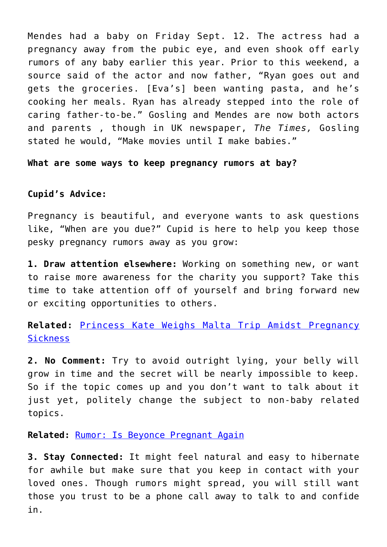Mendes had a baby on Friday Sept. 12. The actress had a pregnancy away from the pubic eye, and even shook off early rumors of any baby earlier this year. Prior to this weekend, a source said of the actor and now father, "Ryan goes out and gets the groceries. [Eva's] been wanting pasta, and he's cooking her meals. Ryan has already stepped into the role of caring father-to-be." Gosling and Mendes are now both actors and parents , though in UK newspaper, *The Times,* Gosling stated he would, "Make movies until I make babies."

**What are some ways to keep pregnancy rumors at bay?**

#### **Cupid's Advice:**

Pregnancy is beautiful, and everyone wants to ask questions like, "When are you due?" Cupid is here to help you keep those pesky pregnancy rumors away as you grow:

**1. Draw attention elsewhere:** Working on something new, or want to raise more awareness for the charity you support? Take this time to take attention off of yourself and bring forward new or exciting opportunities to others.

### **Related:** [Princess Kate Weighs Malta Trip Amidst Pregnancy](http://cupidspulse.com/80784/princess-kate-pregnancy-sickness/) **[Sickness](http://cupidspulse.com/80784/princess-kate-pregnancy-sickness/)**

**2. No Comment:** Try to avoid outright lying, your belly will grow in time and the secret will be nearly impossible to keep. So if the topic comes up and you don't want to talk about it just yet, politely change the subject to non-baby related topics.

**Related:** [Rumor: Is Beyonce Pregnant Again](http://cupidspulse.com/80699/beyonce-pregnant-again-jayz-baby/)

**3. Stay Connected:** It might feel natural and easy to hibernate for awhile but make sure that you keep in contact with your loved ones. Though rumors might spread, you will still want those you trust to be a phone call away to talk to and confide in.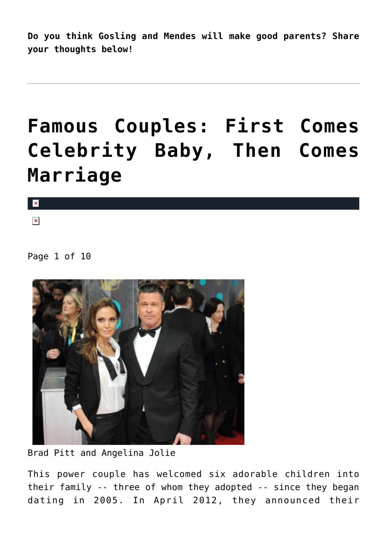**Do you think Gosling and Mendes will make good parents? Share your thoughts below!** 

### **[Famous Couples: First Comes](https://cupidspulse.com/78454/celebrity-babies-before-marriage/) [Celebrity Baby, Then Comes](https://cupidspulse.com/78454/celebrity-babies-before-marriage/) [Marriage](https://cupidspulse.com/78454/celebrity-babies-before-marriage/)**

 $\pmb{\times}$ 

 $\pmb{\times}$ 

Page 1 of 10



Brad Pitt and Angelina Jolie

This power couple has welcomed six adorable children into their family -- three of whom they adopted -- since they began dating in 2005. In April 2012, they announced their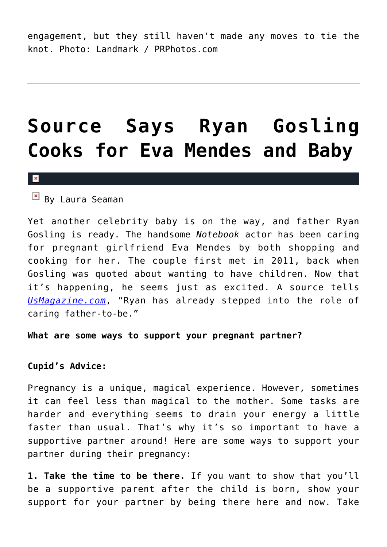engagement, but they still haven't made any moves to tie the knot. Photo: Landmark / PRPhotos.com

### **[Source Says Ryan Gosling](https://cupidspulse.com/77887/ryan-gosling-eva-mendes-pregnant/) [Cooks for Eva Mendes and Baby](https://cupidspulse.com/77887/ryan-gosling-eva-mendes-pregnant/)**

#### $\pmb{\times}$

 $\boxed{\times}$  By Laura Seaman

Yet another celebrity baby is on the way, and father Ryan Gosling is ready. The handsome *Notebook* actor has been caring for pregnant girlfriend Eva Mendes by both shopping and cooking for her. The couple first met in 2011, back when Gosling was quoted about wanting to have children. Now that it's happening, he seems just as excited. A source tells *[UsMagazine.com](http://www.usmagazine.com/celebrity-moms/news/ryan-gosling-cooks-for-pregnant-eva-mendes-is-a-caring-dad-to-be-2014167)*, "Ryan has already stepped into the role of caring father-to-be."

**What are some ways to support your pregnant partner?**

#### **Cupid's Advice:**

Pregnancy is a unique, magical experience. However, sometimes it can feel less than magical to the mother. Some tasks are harder and everything seems to drain your energy a little faster than usual. That's why it's so important to have a supportive partner around! Here are some ways to support your partner during their pregnancy:

**1. Take the time to be there.** If you want to show that you'll be a supportive parent after the child is born, show your support for your partner by being there here and now. Take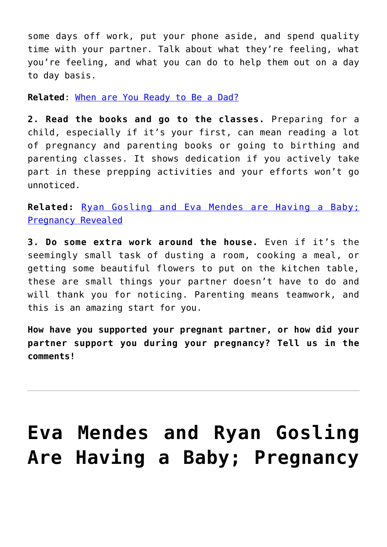some days off work, put your phone aside, and spend quality time with your partner. Talk about what they're feeling, what you're feeling, and what you can do to help them out on a day to day basis.

**Related**: [When are You Ready to Be a Dad?](http://cupidspulse.com/when-are-you-ready-to-be-a-dad-david-wygant/)

**2. Read the books and go to the classes.** Preparing for a child, especially if it's your first, can mean reading a lot of pregnancy and parenting books or going to birthing and parenting classes. It shows dedication if you actively take part in these prepping activities and your efforts won't go unnoticed.

**Related:** [Ryan Gosling and Eva Mendes are Having a Baby;](http://cupidspulse.com/ryan-gosling-and-eva-mendes-are-expecting-first-child/) [Pregnancy Revealed](http://cupidspulse.com/ryan-gosling-and-eva-mendes-are-expecting-first-child/)

**3. Do some extra work around the house.** Even if it's the seemingly small task of dusting a room, cooking a meal, or getting some beautiful flowers to put on the kitchen table, these are small things your partner doesn't have to do and will thank you for noticing. Parenting means teamwork, and this is an amazing start for you.

**How have you supported your pregnant partner, or how did your partner support you during your pregnancy? Tell us in the comments!**

## **[Eva Mendes and Ryan Gosling](https://cupidspulse.com/77533/ryan-gosling-and-eva-mendes-are-expecting-first-child/) [Are Having a Baby; Pregnancy](https://cupidspulse.com/77533/ryan-gosling-and-eva-mendes-are-expecting-first-child/)**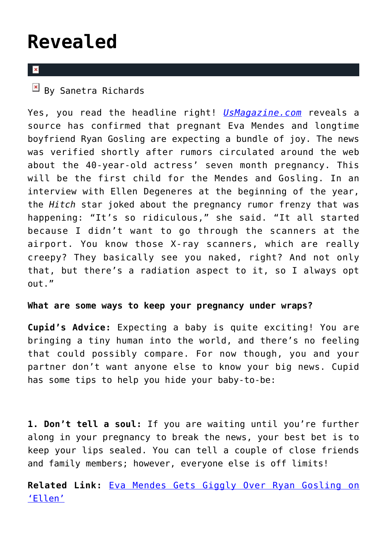### **[Revealed](https://cupidspulse.com/77533/ryan-gosling-and-eva-mendes-are-expecting-first-child/)**

### $\overline{\mathbf{x}}$

 $\overline{B}$  By Sanetra Richards

Yes, you read the headline right! *[UsMagazine.com](http://www.usmagazine.com/celebrity-moms/news/eva-mendes-pregnant-expecting-baby-with-ryan-gosling-report-201497)* reveals a source has confirmed that pregnant Eva Mendes and longtime boyfriend Ryan Gosling are expecting a bundle of joy. The news was verified shortly after rumors circulated around the web about the 40-year-old actress' seven month pregnancy. This will be the first child for the Mendes and Gosling. In an interview with Ellen Degeneres at the beginning of the year, the *Hitch* star joked about the pregnancy rumor frenzy that was happening: "It's so ridiculous," she said. "It all started because I didn't want to go through the scanners at the airport. You know those X-ray scanners, which are really creepy? They basically see you naked, right? And not only that, but there's a radiation aspect to it, so I always opt out."

#### **What are some ways to keep your pregnancy under wraps?**

**Cupid's Advice:** Expecting a baby is quite exciting! You are bringing a tiny human into the world, and there's no feeling that could possibly compare. For now though, you and your partner don't want anyone else to know your big news. Cupid has some tips to help you hide your baby-to-be:

**1. Don't tell a soul:** If you are waiting until you're further along in your pregnancy to break the news, your best bet is to keep your lips sealed. You can tell a couple of close friends and family members; however, everyone else is off limits!

**Related Link:** [Eva Mendes Gets Giggly Over Ryan Gosling on](http://cupidspulse.com/eva-mendes-giggly-over-boyfriend-ryan-gosling-ellen-degeneres-show/) ['Ellen'](http://cupidspulse.com/eva-mendes-giggly-over-boyfriend-ryan-gosling-ellen-degeneres-show/)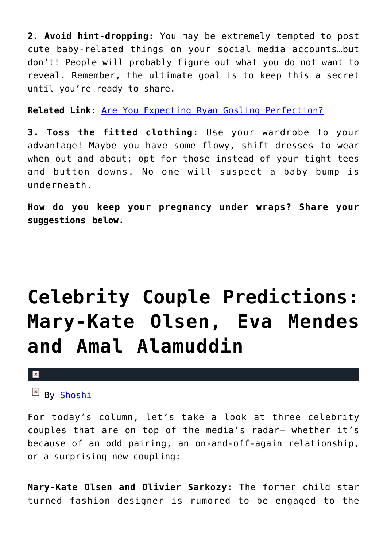**2. Avoid hint-dropping:** You may be extremely tempted to post cute baby-related things on your social media accounts…but don't! People will probably figure out what you do not want to reveal. Remember, the ultimate goal is to keep this a secret until you're ready to share.

**Related Link:** [Are You Expecting Ryan Gosling Perfection?](http://cupidspulse.com/expecting-ryan-gosling-perfection/)

**3. Toss the fitted clothing:** Use your wardrobe to your advantage! Maybe you have some flowy, shift dresses to wear when out and about; opt for those instead of your tight tees and button downs. No one will suspect a baby bump is underneath.

**How do you keep your pregnancy under wraps? Share your suggestions below.**

## **[Celebrity Couple Predictions:](https://cupidspulse.com/72328/celebrity-couple-predictions-shoshi-mary-kate-olsen-eva-mendes/) [Mary-Kate Olsen, Eva Mendes](https://cupidspulse.com/72328/celebrity-couple-predictions-shoshi-mary-kate-olsen-eva-mendes/) [and Amal Alamuddin](https://cupidspulse.com/72328/celebrity-couple-predictions-shoshi-mary-kate-olsen-eva-mendes/)**

#### $\mathbf{x}$

### $B_V$  [Shoshi](http://about.me/yolandashoshana)

For today's column, let's take a look at three celebrity couples that are on top of the media's radar– whether it's because of an odd pairing, an on-and-off-again relationship, or a surprising new coupling:

**Mary-Kate Olsen and Olivier Sarkozy:** The former child star turned fashion designer is rumored to be engaged to the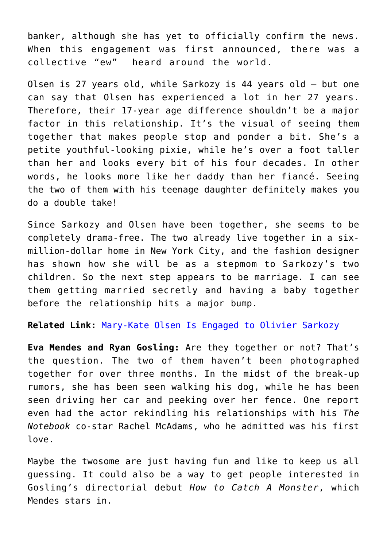banker, although she has yet to officially confirm the news. When this engagement was first announced, there was a collective "ew" heard around the world.

Olsen is 27 years old, while Sarkozy is 44 years old — but one can say that Olsen has experienced a lot in her 27 years. Therefore, their 17-year age difference shouldn't be a major factor in this relationship. It's the visual of seeing them together that makes people stop and ponder a bit. She's a petite youthful-looking pixie, while he's over a foot taller than her and looks every bit of his four decades. In other words, he looks more like her daddy than her fiancé. Seeing the two of them with his teenage daughter definitely makes you do a double take!

Since Sarkozy and Olsen have been together, she seems to be completely drama-free. The two already live together in a sixmillion-dollar home in New York City, and the fashion designer has shown how she will be as a stepmom to Sarkozy's two children. So the next step appears to be marriage. I can see them getting married secretly and having a baby together before the relationship hits a major bump.

**Related Link:** [Mary-Kate Olsen Is Engaged to Olivier Sarkozy](http://cupidspulse.com/mary-kate-olsen-engaged-olivier-sarkozy/)

**Eva Mendes and Ryan Gosling:** Are they together or not? That's the question. The two of them haven't been photographed together for over three months. In the midst of the break-up rumors, she has been seen walking his dog, while he has been seen driving her car and peeking over her fence. One report even had the actor rekindling his relationships with his *The Notebook* co-star Rachel McAdams, who he admitted was his first love.

Maybe the twosome are just having fun and like to keep us all guessing. It could also be a way to get people interested in Gosling's directorial debut *How to Catch A Monster*, which Mendes stars in.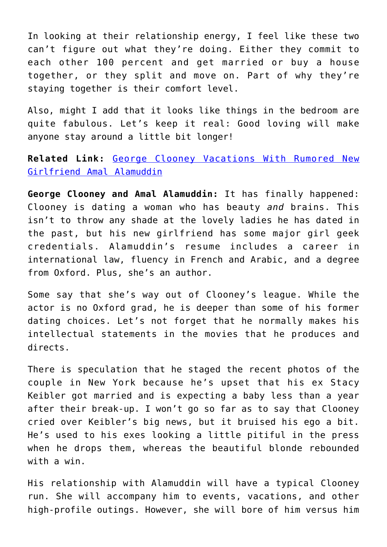In looking at their relationship energy, I feel like these two can't figure out what they're doing. Either they commit to each other 100 percent and get married or buy a house together, or they split and move on. Part of why they're staying together is their comfort level.

Also, might I add that it looks like things in the bedroom are quite fabulous. Let's keep it real: Good loving will make anyone stay around a little bit longer!

**Related Link:** [George Clooney Vacations With Rumored New](http://cupidspulse.com/george-clooney-vacations-with-amal-alamuddin/) [Girlfriend Amal Alamuddin](http://cupidspulse.com/george-clooney-vacations-with-amal-alamuddin/)

**George Clooney and Amal Alamuddin:** It has finally happened: Clooney is dating a woman who has beauty *and* brains. This isn't to throw any shade at the lovely ladies he has dated in the past, but his new girlfriend has some major girl geek credentials. Alamuddin's resume includes a career in international law, fluency in French and Arabic, and a degree from Oxford. Plus, she's an author.

Some say that she's way out of Clooney's league. While the actor is no Oxford grad, he is deeper than some of his former dating choices. Let's not forget that he normally makes his intellectual statements in the movies that he produces and directs.

There is speculation that he staged the recent photos of the couple in New York because he's upset that his ex Stacy Keibler got married and is expecting a baby less than a year after their break-up. I won't go so far as to say that Clooney cried over Keibler's big news, but it bruised his ego a bit. He's used to his exes looking a little pitiful in the press when he drops them, whereas the beautiful blonde rebounded with a win.

His relationship with Alamuddin will have a typical Clooney run. She will accompany him to events, vacations, and other high-profile outings. However, she will bore of him versus him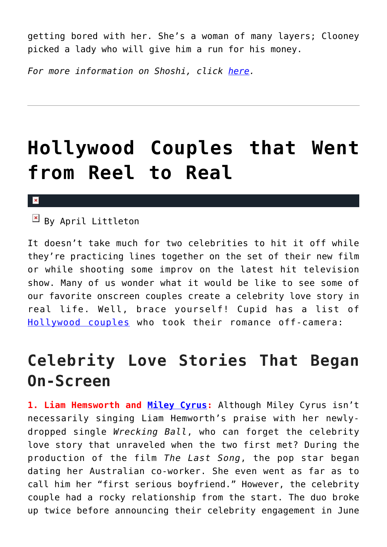getting bored with her. She's a woman of many layers; Clooney picked a lady who will give him a run for his money.

*For more information on Shoshi, click [here.](http://cupidspulse.com/yolanda-shoshana-shoshi-lifestyle-provocateur/)*

## **[Hollywood Couples that Went](https://cupidspulse.com/58869/celebrity-couples-reel-real/) [from Reel to Real](https://cupidspulse.com/58869/celebrity-couples-reel-real/)**

#### $\pmb{\times}$

 $\overline{B}$  By April Littleton

It doesn't take much for two celebrities to hit it off while they're practicing lines together on the set of their new film or while shooting some improv on the latest hit television show. Many of us wonder what it would be like to see some of our favorite onscreen couples create a celebrity love story in real life. Well, brace yourself! Cupid has a list of [Hollywood couples](http://cupidspulse.com/celebrity-relationships/long-term-relationships-flings/) who took their romance off-camera:

### **Celebrity Love Stories That Began On-Screen**

**1. Liam Hemsworth and [Miley Cyrus:](http://cupidspulse.com/86089/miley-cyrus/)** Although Miley Cyrus isn't necessarily singing Liam Hemworth's praise with her newlydropped single *Wrecking Ball*, who can forget the celebrity love story that unraveled when the two first met? During the production of the film *The Last Song*, the pop star began dating her Australian co-worker. She even went as far as to call him her "first serious boyfriend." However, the celebrity couple had a rocky relationship from the start. The duo broke up twice before announcing their celebrity engagement in June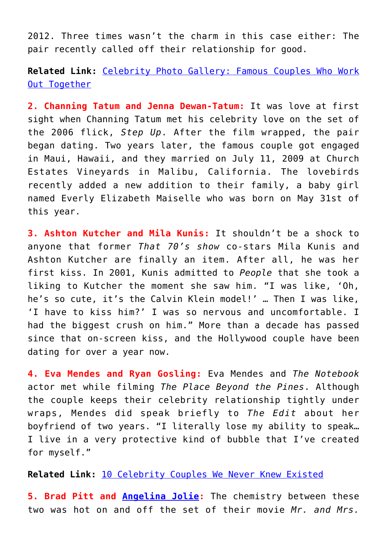2012. Three times wasn't the charm in this case either: The pair recently called off their relationship for good.

**Related Link:** [Celebrity Photo Gallery: Famous Couples Who Work](http://cupidspulse.com/99968/celebrity-photo-gallery-famous-couples-workout-together/) [Out Together](http://cupidspulse.com/99968/celebrity-photo-gallery-famous-couples-workout-together/)

**2. Channing Tatum and Jenna Dewan-Tatum:** It was love at first sight when Channing Tatum met his celebrity love on the set of the 2006 flick, *Step Up*. After the film wrapped, the pair began dating. Two years later, the famous couple got engaged in Maui, Hawaii, and they married on July 11, 2009 at Church Estates Vineyards in Malibu, California. The lovebirds recently added a new addition to their family, a baby girl named Everly Elizabeth Maiselle who was born on May 31st of this year.

**3. Ashton Kutcher and Mila Kunis:** It shouldn't be a shock to anyone that former *That 70's show* co-stars Mila Kunis and Ashton Kutcher are finally an item. After all, he was her first kiss. In 2001, Kunis admitted to *People* that she took a liking to Kutcher the moment she saw him. "I was like, 'Oh, he's so cute, it's the Calvin Klein model!' … Then I was like, 'I have to kiss him?' I was so nervous and uncomfortable. I had the biggest crush on him." More than a decade has passed since that on-screen kiss, and the Hollywood couple have been dating for over a year now.

**4. Eva Mendes and Ryan Gosling:** Eva Mendes and *The Notebook* actor met while filming *The Place Beyond the Pines*. Although the couple keeps their celebrity relationship tightly under wraps, Mendes did speak briefly to *The Edit* about her boyfriend of two years. "I literally lose my ability to speak… I live in a very protective kind of bubble that I've created for myself."

**Related Link:** [10 Celebrity Couples We Never Knew Existed](http://cupidspulse.com/celebrity-couples-never-knew-existed/)

**5. Brad Pitt and [Angelina Jolie:](http://cupidspulse.com/86085/angelina-jolie/)** The chemistry between these two was hot on and off the set of their movie *Mr. and Mrs.*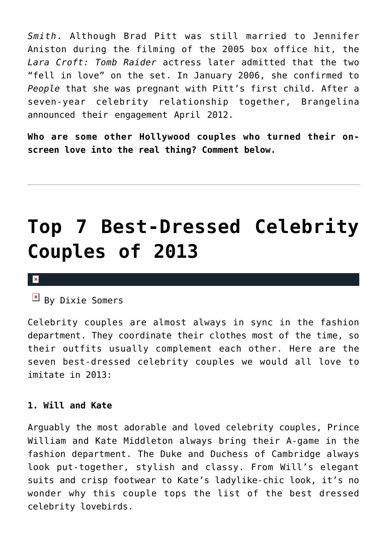*Smith*. Although Brad Pitt was still married to Jennifer Aniston during the filming of the 2005 box office hit, the *Lara Croft: Tomb Raider* actress later admitted that the two "fell in love" on the set. In January 2006, she confirmed to *People* that she was pregnant with Pitt's first child. After a seven-year celebrity relationship together, Brangelina announced their engagement April 2012.

**Who are some other Hollywood couples who turned their onscreen love into the real thing? Comment below.**

## **[Top 7 Best-Dressed Celebrity](https://cupidspulse.com/49534/top-7-best-dressed-celebrities-2013/) [Couples of 2013](https://cupidspulse.com/49534/top-7-best-dressed-celebrities-2013/)**

#### $\pmb{\times}$

 $\mathbb{F}$  By Dixie Somers

Celebrity couples are almost always in sync in the fashion department. They coordinate their clothes most of the time, so their outfits usually complement each other. Here are the seven best-dressed celebrity couples we would all love to imitate in 2013:

#### **1. Will and Kate**

Arguably the most adorable and loved celebrity couples, Prince William and Kate Middleton always bring their A-game in the fashion department. The Duke and Duchess of Cambridge always look put-together, stylish and classy. From Will's elegant suits and crisp footwear to Kate's ladylike-chic look, it's no wonder why this couple tops the list of the best dressed celebrity lovebirds.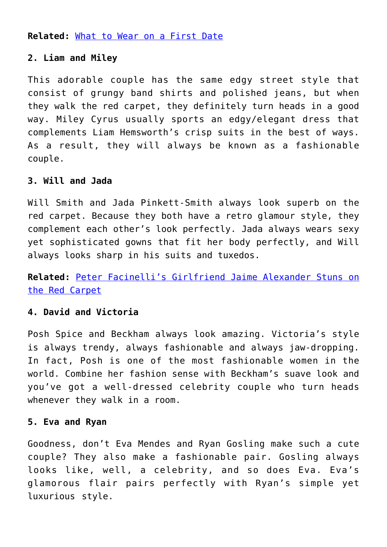**Related:** [What to Wear on a First Date](http://cupidspulse.com/what-to-wear-on-first-date-lunch-dinner-movie-formal-fashion/)

### **2. Liam and Miley**

This adorable couple has the same edgy street style that consist of grungy band shirts and polished jeans, but when they walk the red carpet, they definitely turn heads in a good way. Miley Cyrus usually sports an edgy/elegant dress that complements Liam Hemsworth's crisp suits in the best of ways. As a result, they will always be known as a fashionable couple.

### **3. Will and Jada**

Will Smith and Jada Pinkett-Smith always look superb on the red carpet. Because they both have a retro glamour style, they complement each other's look perfectly. Jada always wears sexy yet sophisticated gowns that fit her body perfectly, and Will always looks sharp in his suits and tuxedos.

**Related:** [Peter Facinelli's Girlfriend Jaime Alexander Stuns on](http://cupidspulse.com/peter-facinellis-girlfriend-jaime-alexander-stuns-red-carpet/) [the Red Carpet](http://cupidspulse.com/peter-facinellis-girlfriend-jaime-alexander-stuns-red-carpet/)

### **4. David and Victoria**

Posh Spice and Beckham always look amazing. Victoria's style is always trendy, always fashionable and always jaw-dropping. In fact, Posh is one of the most fashionable women in the world. Combine her fashion sense with Beckham's suave look and you've got a well-dressed celebrity couple who turn heads whenever they walk in a room.

#### **5. Eva and Ryan**

Goodness, don't Eva Mendes and Ryan Gosling make such a cute couple? They also make a fashionable pair. Gosling always looks like, well, a celebrity, and so does Eva. Eva's glamorous flair pairs perfectly with Ryan's simple yet luxurious style.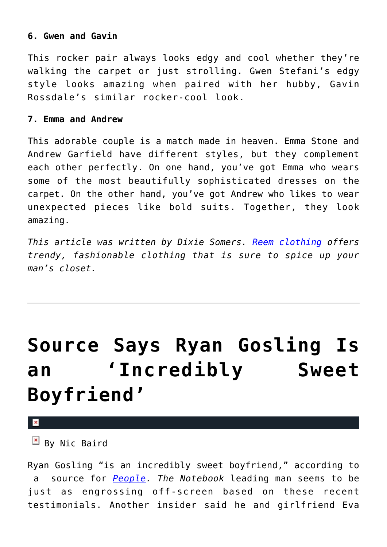### **6. Gwen and Gavin**

This rocker pair always looks edgy and cool whether they're walking the carpet or just strolling. Gwen Stefani's edgy style looks amazing when paired with her hubby, Gavin Rossdale's similar rocker-cool look.

#### **7. Emma and Andrew**

This adorable couple is a match made in heaven. Emma Stone and Andrew Garfield have different styles, but they complement each other perfectly. On one hand, you've got Emma who wears some of the most beautifully sophisticated dresses on the carpet. On the other hand, you've got Andrew who likes to wear unexpected pieces like bold suits. Together, they look amazing.

*This article was written by Dixie Somers. [Reem clothing](http://www.reemclothing.com/Mens-Clothing/Mens-Designer-T-shirts.html) offers trendy, fashionable clothing that is sure to spice up your man's closet.*

## **[Source Says Ryan Gosling Is](https://cupidspulse.com/43604/ryan-gosling-incredibly-sweet-boyfriend-eva-mendes/) [an 'Incredibly Sweet](https://cupidspulse.com/43604/ryan-gosling-incredibly-sweet-boyfriend-eva-mendes/) [Boyfriend'](https://cupidspulse.com/43604/ryan-gosling-incredibly-sweet-boyfriend-eva-mendes/)**

 $\pmb{\times}$ 

 $\mathbb{E}$  By Nic Baird

Ryan Gosling "is an incredibly sweet boyfriend," according to a source for *[People.](http://www.people.com/people/article/0,,20662666,00.html) The Notebook* leading man seems to be just as engrossing off-screen based on these recent testimonials. Another insider said he and girlfriend Eva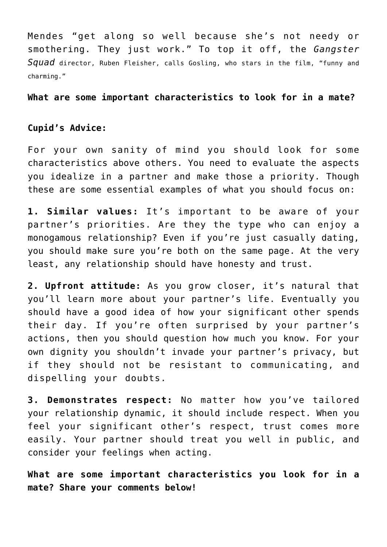Mendes "get along so well because she's not needy or smothering. They just work." To top it off, the *Gangster Squad* director, Ruben Fleisher, calls Gosling, who stars in the film, "funny and charming."

**What are some important characteristics to look for in a mate?**

### **Cupid's Advice:**

For your own sanity of mind you should look for some characteristics above others. You need to evaluate the aspects you idealize in a partner and make those a priority. Though these are some essential examples of what you should focus on:

**1. Similar values:** It's important to be aware of your partner's priorities. Are they the type who can enjoy a monogamous relationship? Even if you're just casually dating, you should make sure you're both on the same page. At the very least, any relationship should have honesty and trust.

**2. Upfront attitude:** As you grow closer, it's natural that you'll learn more about your partner's life. Eventually you should have a good idea of how your significant other spends their day. If you're often surprised by your partner's actions, then you should question how much you know. For your own dignity you shouldn't invade your partner's privacy, but if they should not be resistant to communicating, and dispelling your doubts.

**3. Demonstrates respect:** No matter how you've tailored your relationship dynamic, it should include respect. When you feel your significant other's respect, trust comes more easily. Your partner should treat you well in public, and consider your feelings when acting.

**What are some important characteristics you look for in a mate? Share your comments below!**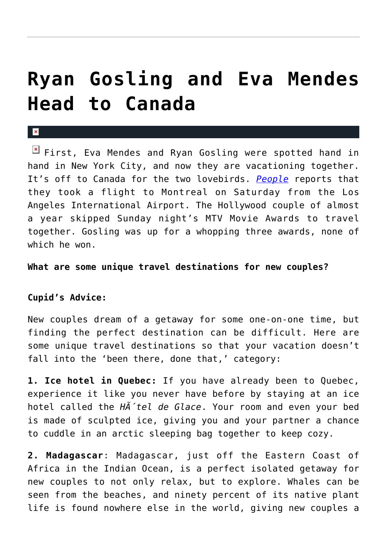### **[Ryan Gosling and Eva Mendes](https://cupidspulse.com/32370/ryan-gosling-eva-mendes-vacation-canada/) [Head to Canada](https://cupidspulse.com/32370/ryan-gosling-eva-mendes-vacation-canada/)**

First, Eva Mendes and Ryan Gosling were spotted hand in hand in New York City, and now they are vacationing together. It's off to Canada for the two lovebirds. *[People](http://people.com)* reports that they took a flight to Montreal on Saturday from the Los Angeles International Airport. The Hollywood couple of almost a year skipped Sunday night's MTV Movie Awards to travel together. Gosling was up for a whopping three awards, none of which he won.

#### **What are some unique travel destinations for new couples?**

#### **Cupid's Advice:**

x

New couples dream of a getaway for some one-on-one time, but finding the perfect destination can be difficult. Here are some unique travel destinations so that your vacation doesn't fall into the 'been there, done that,' category:

**1. Ice hotel in Quebec:** If you have already been to Quebec, experience it like you never have before by staying at an ice hotel called the *HA* 'tel de Glace. Your room and even your bed is made of sculpted ice, giving you and your partner a chance to cuddle in an arctic sleeping bag together to keep cozy.

**2. Madagascar**: Madagascar, just off the Eastern Coast of Africa in the Indian Ocean, is a perfect isolated getaway for new couples to not only relax, but to explore. Whales can be seen from the beaches, and ninety percent of its native plant life is found nowhere else in the world, giving new couples a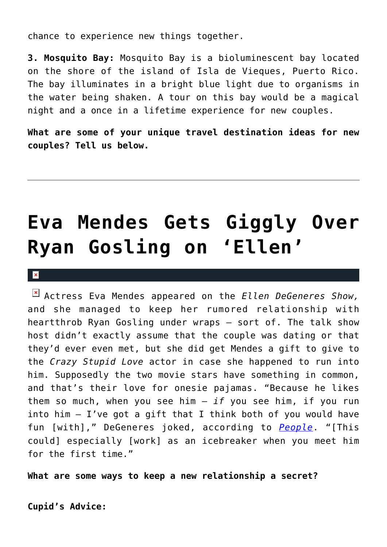chance to experience new things together.

**3. Mosquito Bay:** Mosquito Bay is a bioluminescent bay located on the shore of the island of Isla de Vieques, Puerto Rico. The bay illuminates in a bright blue light due to organisms in the water being shaken. A tour on this bay would be a magical night and a once in a lifetime experience for new couples.

**What are some of your unique travel destination ideas for new couples? Tell us below.**

## **[Eva Mendes Gets Giggly Over](https://cupidspulse.com/30983/eva-mendes-giggly-over-boyfriend-ryan-gosling-ellen-degeneres-show/) [Ryan Gosling on 'Ellen'](https://cupidspulse.com/30983/eva-mendes-giggly-over-boyfriend-ryan-gosling-ellen-degeneres-show/)**

### $\mathbf{x}$

Actress Eva Mendes appeared on the *Ellen DeGeneres Show,* and she managed to keep her rumored relationship with heartthrob Ryan Gosling under wraps – sort of. The talk show host didn't exactly assume that the couple was dating or that they'd ever even met, but she did get Mendes a gift to give to the *Crazy Stupid Love* actor in case she happened to run into him. Supposedly the two movie stars have something in common, and that's their love for onesie pajamas. "Because he likes them so much, when you see him — *if* you see him, if you run into him  $-$  I've got a gift that I think both of you would have fun [with]," DeGeneres joked, according to *[People](http://www.people.com/people/article/0,,20593497,00.html)*. "[This could] especially [work] as an icebreaker when you meet him for the first time."

**What are some ways to keep a new relationship a secret?**

**Cupid's Advice:**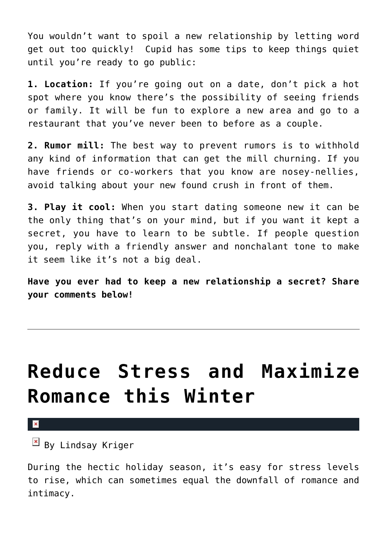You wouldn't want to spoil a new relationship by letting word get out too quickly! Cupid has some tips to keep things quiet until you're ready to go public:

**1. Location:** If you're going out on a date, don't pick a hot spot where you know there's the possibility of seeing friends or family. It will be fun to explore a new area and go to a restaurant that you've never been to before as a couple.

**2. Rumor mill:** The best way to prevent rumors is to withhold any kind of information that can get the mill churning. If you have friends or co-workers that you know are nosey-nellies, avoid talking about your new found crush in front of them.

**3. Play it cool:** When you start dating someone new it can be the only thing that's on your mind, but if you want it kept a secret, you have to learn to be subtle. If people question you, reply with a friendly answer and nonchalant tone to make it seem like it's not a big deal.

**Have you ever had to keep a new relationship a secret? Share your comments below!**

### **[Reduce Stress and Maximize](https://cupidspulse.com/26021/reduce-stress-maximize-romance-this-winter-nikki-reed-ryan-gosling/) [Romance this Winter](https://cupidspulse.com/26021/reduce-stress-maximize-romance-this-winter-nikki-reed-ryan-gosling/)**

#### ×

 $\mathbb{E}$  By Lindsay Kriger

During the hectic holiday season, it's easy for stress levels to rise, which can sometimes equal the downfall of romance and intimacy.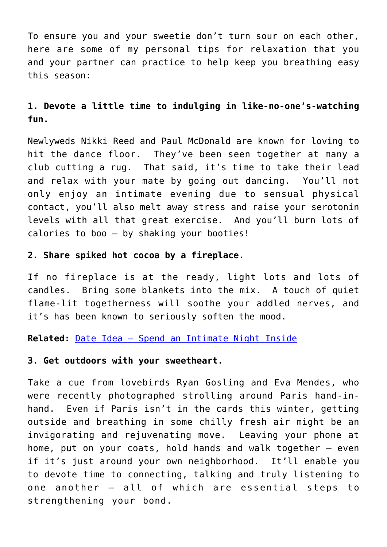To ensure you and your sweetie don't turn sour on each other, here are some of my personal tips for relaxation that you and your partner can practice to help keep you breathing easy this season:

### **1. Devote a little time to indulging in like-no-one's-watching fun.**

Newlyweds Nikki Reed and Paul McDonald are known for loving to hit the dance floor. They've been seen together at many a club cutting a rug. That said, it's time to take their lead and relax with your mate by going out dancing. You'll not only enjoy an intimate evening due to sensual physical contact, you'll also melt away stress and raise your serotonin levels with all that great exercise. And you'll burn lots of calories to boo — by shaking your booties!

### **2. Share spiked hot cocoa by a fireplace.**

If no fireplace is at the ready, light lots and lots of candles. Bring some blankets into the mix. A touch of quiet flame-lit togetherness will soothe your addled nerves, and it's has been known to seriously soften the mood.

**Related:** [Date Idea – Spend an Intimate Night Inside](http://cupidspulse.com/weekend-date-idea-spend-an-intimate-night-at-home-with-your-partner/)

### **3. Get outdoors with your sweetheart.**

Take a cue from lovebirds Ryan Gosling and Eva Mendes, who were recently photographed strolling around Paris hand-inhand. Even if Paris isn't in the cards this winter, getting outside and breathing in some chilly fresh air might be an invigorating and rejuvenating move. Leaving your phone at home, put on your coats, hold hands and walk together — even if it's just around your own neighborhood. It'll enable you to devote time to connecting, talking and truly listening to one another — all of which are essential steps to strengthening your bond.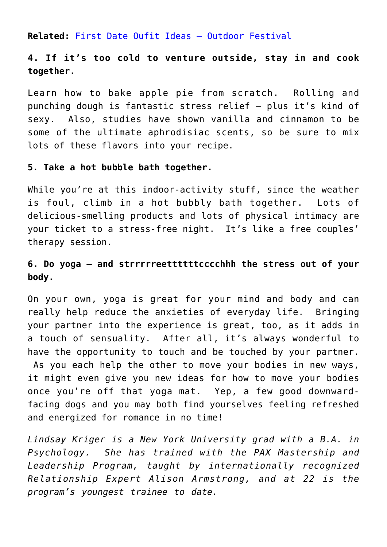**Related:** [First Date Oufit Ideas – Outdoor Festival](http://cupidspulse.com/first-outdoor-festival-date-oufit-ideas-for-guys-and-girl/)

### **4. If it's too cold to venture outside, stay in and cook together.**

Learn how to bake apple pie from scratch. Rolling and punching dough is fantastic stress relief — plus it's kind of sexy. Also, studies have shown vanilla and cinnamon to be some of the ultimate aphrodisiac scents, so be sure to mix lots of these flavors into your recipe.

#### **5. Take a hot bubble bath together.**

While you're at this indoor-activity stuff, since the weather is foul, climb in a hot bubbly bath together. Lots of delicious-smelling products and lots of physical intimacy are your ticket to a stress-free night. It's like a free couples' therapy session.

### **6. Do yoga — and strrrrreettttttcccchhh the stress out of your body.**

On your own, yoga is great for your mind and body and can really help reduce the anxieties of everyday life. Bringing your partner into the experience is great, too, as it adds in a touch of sensuality. After all, it's always wonderful to have the opportunity to touch and be touched by your partner. As you each help the other to move your bodies in new ways, it might even give you new ideas for how to move your bodies once you're off that yoga mat. Yep, a few good downwardfacing dogs and you may both find yourselves feeling refreshed and energized for romance in no time!

*Lindsay Kriger is a New York University grad with a B.A. in Psychology. She has trained with the PAX Mastership and Leadership Program, taught by internationally recognized Relationship Expert Alison Armstrong, and at 22 is the program's youngest trainee to date.*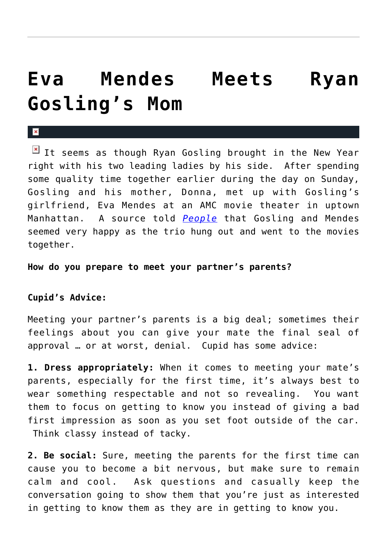## **[Eva Mendes Meets Ryan](https://cupidspulse.com/24909/ryan-gosling-introduced-eva-mendes-his-mother/) [Gosling's Mom](https://cupidspulse.com/24909/ryan-gosling-introduced-eva-mendes-his-mother/)**

 $\boxed{\times}$  It seems as though Ryan Gosling brought in the New Year right with his two leading ladies by his side. After spending some quality time together earlier during the day on Sunday, Gosling and his mother, Donna, met up with Gosling's girlfriend, Eva Mendes at an AMC movie theater in uptown Manhattan. A source told *[People](http://www.people.com/people/article/0,,20557923,00.html)* that Gosling and Mendes seemed very happy as the trio hung out and went to the movies together.

**How do you prepare to meet your partner's parents?**

### **Cupid's Advice:**

 $\vert \mathbf{x} \vert$ 

Meeting your partner's parents is a big deal; sometimes their feelings about you can give your mate the final seal of approval … or at worst, denial. Cupid has some advice:

**1. Dress appropriately:** When it comes to meeting your mate's parents, especially for the first time, it's always best to wear something respectable and not so revealing. You want them to focus on getting to know you instead of giving a bad first impression as soon as you set foot outside of the car. Think classy instead of tacky.

**2. Be social:** Sure, meeting the parents for the first time can cause you to become a bit nervous, but make sure to remain calm and cool. Ask questions and casually keep the conversation going to show them that you're just as interested in getting to know them as they are in getting to know you.